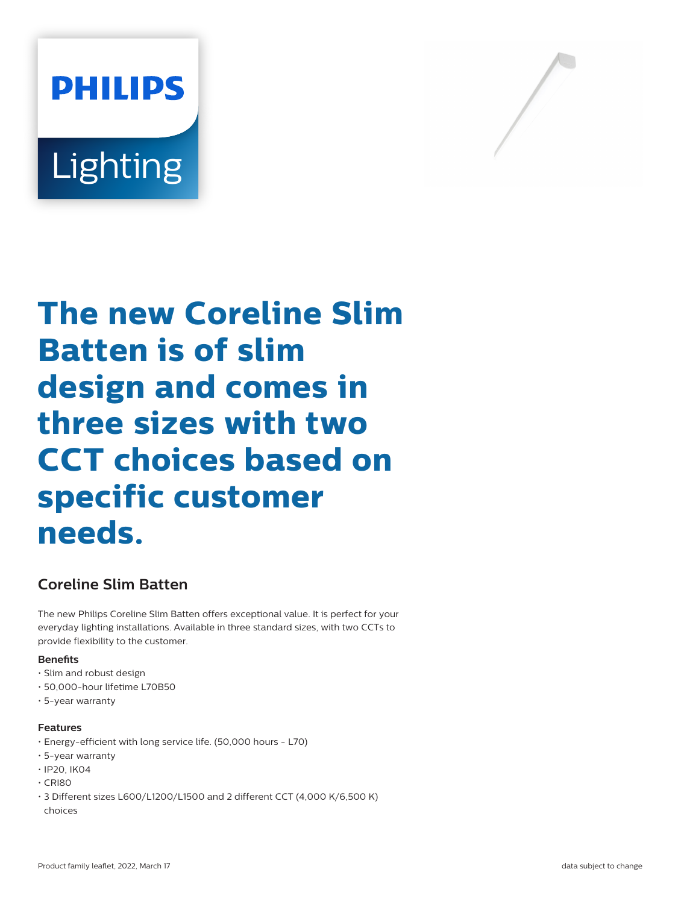



# **The new Coreline Slim Batten is of slim design and comes in three sizes with two CCT choices based on specific customer needs.**

# **Coreline Slim Batten**

The new Philips Coreline Slim Batten offers exceptional value. It is perfect for your everyday lighting installations. Available in three standard sizes, with two CCTs to provide flexibility to the customer.

#### **Benets**

- Slim and robust design
- 50,000-hour lifetime L70B50
- 5-year warranty

#### **Features**

- Energy-efficient with long service life. (50,000 hours L70)
- 5-year warranty
- IP20, IK04
- CRI80
- 3 Different sizes L600/L1200/L1500 and 2 different CCT (4,000 K/6,500 K) choices